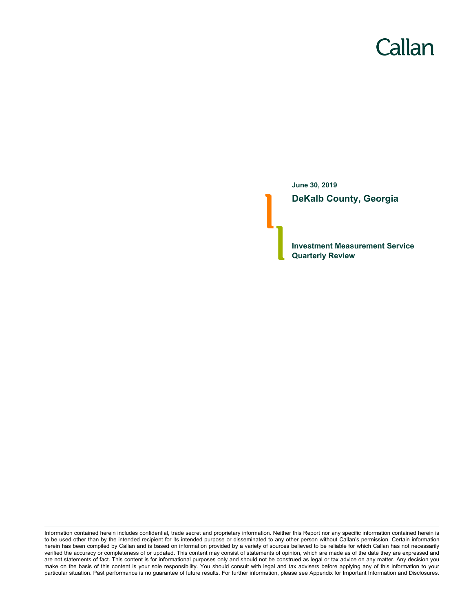# Callan

**June 30, 2019 DeKalb County, Georgia**

**Investment Measurement Service Quarterly Review**

Information contained herein includes confidential, trade secret and proprietary information. Neither this Report nor any specific information contained herein is to be used other than by the intended recipient for its intended purpose or disseminated to any other person without Callan's permission. Certain information herein has been compiled by Callan and is based on information provided by a variety of sources believed to be reliable for which Callan has not necessarily verified the accuracy or completeness of or updated. This content may consist of statements of opinion, which are made as of the date they are expressed and are not statements of fact. This content is for informational purposes only and should not be construed as legal or tax advice on any matter. Any decision you make on the basis of this content is your sole responsibility. You should consult with legal and tax advisers before applying any of this information to your particular situation. Past performance is no guarantee of future results. For further information, please see Appendix for Important Information and Disclosures.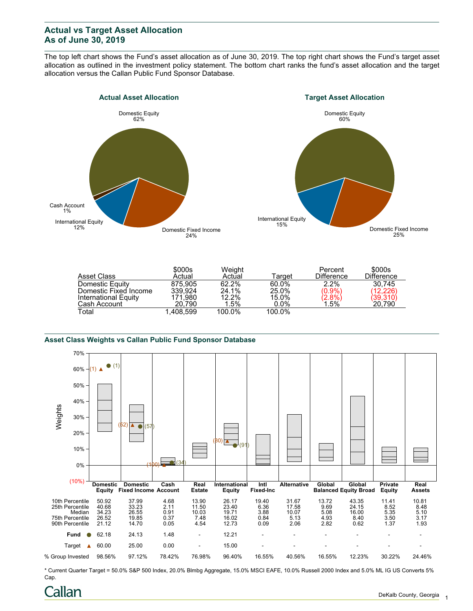## **Actual vs Target Asset Allocation As of June 30, 2019**

The top left chart shows the Fund's asset allocation as of June 30, 2019. The top right chart shows the Fund's target asset allocation as outlined in the investment policy statement. The bottom chart ranks the fund's asset allocation and the target allocation versus the Callan Public Fund Sponsor Database.





|                       | \$000s    | Weight  |         | Percent                | \$000s            |
|-----------------------|-----------|---------|---------|------------------------|-------------------|
| Asset Class           | Actual    | Actual  | Target  | <b>Difference</b>      | <b>Difference</b> |
| Domestic Equity       | 875.905   | 62.2%   | 60.0%   | $2.2\%$                | 30.745            |
| Domestic Fixed Income | 339.924   | 24.1%   | 25.0%   | $(0.9\%)$              | (12.226)          |
| International Equity  | 171.980   | 12.2%   | 15.0%   | $\binom{2.8\%}{1.5\%}$ | (39,310)          |
| Cash Account          | 20.790    | $1.5\%$ | $0.0\%$ |                        | 20,790            |
| Total                 | 1.408.599 | 100.0%  | 100.0%  |                        |                   |

#### **Asset Class Weights vs Callan Public Fund Sponsor Database**



\* Current Quarter Target = 50.0% S&P 500 Index, 20.0% Blmbg Aggregate, 15.0% MSCI EAFE, 10.0% Russell 2000 Index and 5.0% ML IG US Converts 5% Cap.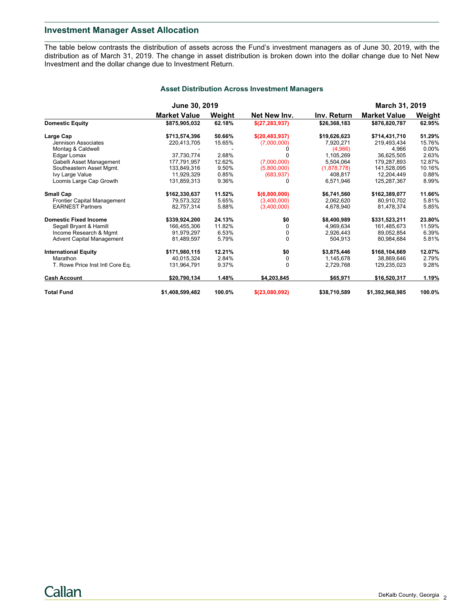## **Investment Manager Asset Allocation**

The table below contrasts the distribution of assets across the Fund's investment managers as of June 30, 2019, with the distribution as of March 31, 2019. The change in asset distribution is broken down into the dollar change due to Net New Investment and the dollar change due to Investment Return.

|                                  | <b>June 30, 2019</b> |        |                  |              | <b>March 31, 2019</b> |          |
|----------------------------------|----------------------|--------|------------------|--------------|-----------------------|----------|
|                                  | <b>Market Value</b>  | Weight | Net New Inv.     | Inv. Return  | <b>Market Value</b>   | Weight   |
| <b>Domestic Equity</b>           | \$875,905,032        | 62.18% | \$(27,283,937)   | \$26,368,183 | \$876,820,787         | 62.95%   |
| Large Cap                        | \$713,574,396        | 50.66% | \$(20, 483, 937) | \$19,626,623 | \$714,431,710         | 51.29%   |
| Jennison Associates              | 220,413,705          | 15.65% | (7,000,000)      | 7.920.271    | 219,493,434           | 15.76%   |
| Montag & Caldwell                |                      |        | O                | (4,966)      | 4,966                 | $0.00\%$ |
| Edgar Lomax                      | 37,730,774           | 2.68%  |                  | 1,105,269    | 36,625,505            | 2.63%    |
| Gabelli Asset Management         | 177.791.957          | 12.62% | (7,000,000)      | 5.504.064    | 179.287.893           | 12.87%   |
| Southeastern Asset Mgmt.         | 133,849,316          | 9.50%  | (5,800,000)      | (1,878,778)  | 141,528,095           | 10.16%   |
| Ivy Large Value                  | 11,929,329           | 0.85%  | (683, 937)       | 408.817      | 12.204.449            | 0.88%    |
| Loomis Large Cap Growth          | 131,859,313          | 9.36%  | 0                | 6,571,946    | 125,287,367           | 8.99%    |
| <b>Small Cap</b>                 | \$162,330,637        | 11.52% | \$(6,800,000)    | \$6,741,560  | \$162,389,077         | 11.66%   |
| Frontier Capital Management      | 79,573,322           | 5.65%  | (3,400,000)      | 2,062,620    | 80.910.702            | 5.81%    |
| <b>EARNEST Partners</b>          | 82.757.314           | 5.88%  | (3,400,000)      | 4.678.940    | 81.478.374            | 5.85%    |
| <b>Domestic Fixed Income</b>     | \$339,924,200        | 24.13% | \$0              | \$8,400,989  | \$331,523,211         | 23.80%   |
| Segall Bryant & Hamill           | 166.455.306          | 11.82% | 0                | 4,969,634    | 161,485,673           | 11.59%   |
| Income Research & Mgmt           | 91.979.297           | 6.53%  | 0                | 2.926.443    | 89.052.854            | 6.39%    |
| <b>Advent Capital Management</b> | 81,489,597           | 5.79%  | 0                | 504.913      | 80.984.684            | 5.81%    |
| <b>International Equity</b>      | \$171,980,115        | 12.21% | \$0              | \$3,875,446  | \$168,104,669         | 12.07%   |
| Marathon                         | 40.015.324           | 2.84%  | 0                | 1,145,678    | 38.869.646            | 2.79%    |
| T. Rowe Price Inst Intl Core Eq. | 131,964,791          | 9.37%  | 0                | 2,729,768    | 129,235,023           | 9.28%    |
| <b>Cash Account</b>              | \$20,790,134         | 1.48%  | \$4.203.845      | \$65,971     | \$16,520,317          | 1.19%    |
| <b>Total Fund</b>                | \$1,408,599,482      | 100.0% | \$(23.080.092)   | \$38,710,589 | \$1,392,968,985       | 100.0%   |

### **Asset Distribution Across Investment Managers**

Callan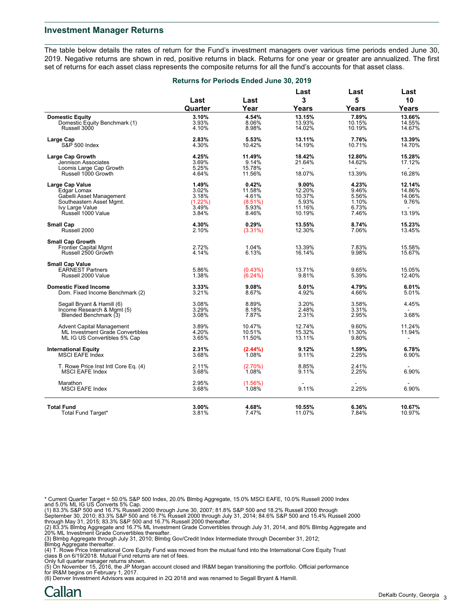#### **Investment Manager Returns**

The table below details the rates of return for the Fund's investment managers over various time periods ended June 30, 2019. Negative returns are shown in red, positive returns in black. Returns for one year or greater are annualized. The first set of returns for each asset class represents the composite returns for all the fund's accounts for that asset class.

|                                                                         | Returns for Periods Ended June 30, 2019 |                         |                            |                           |                            |
|-------------------------------------------------------------------------|-----------------------------------------|-------------------------|----------------------------|---------------------------|----------------------------|
|                                                                         | Last                                    | Last<br>Year            | Last<br>3                  | Last<br>5                 | Last<br>10                 |
|                                                                         | Quarter                                 |                         | <b>Years</b>               | Years                     | <b>Years</b>               |
| <b>Domestic Equity</b><br>Domestic Equity Benchmark (1)<br>Russell 3000 | 3.10%<br>3.93%<br>4.10%                 | 4.54%<br>8.06%<br>8.98% | 13.15%<br>13.93%<br>14.02% | 7.89%<br>10.15%<br>10.19% | 13.66%<br>14.55%<br>14.67% |
| Large Cap<br>S&P 500 Index                                              | 2.83%<br>4.30%                          | 5.53%<br>10.42%         | 13.11%<br>14.19%           | 7.76%<br>10.71%           | 13.39%<br>14.70%           |
| <b>Large Cap Growth</b>                                                 | 4.25%                                   | 11.49%                  | 18.42%                     | 12.80%                    | 15.28%                     |
| Jennison Associates                                                     | 3.69%                                   | 9.14%                   | 21.64%                     | 14.62%                    | 17.12%                     |
| Loomis Large Cap Growth                                                 | 5.25%                                   | 15.78%                  |                            |                           |                            |
| Russell 1000 Growth                                                     | 4.64%                                   | 11.56%                  | 18.07%                     | 13.39%                    | 16.28%                     |
| Large Cap Value                                                         | 1.49%                                   | 0.42%                   | 9.00%                      | 4.23%                     | 12.14%                     |
| Edgar Lomax                                                             | 3.02%                                   | 11.58%                  | 12.20%                     | 9.46%                     | 14.86%                     |
| Gabelli Asset Management                                                | 3.18%                                   | 4.61%                   | 10.37%                     | 5.56%                     | 14.06%                     |
| Southeastern Asset Mgmt.                                                | (1.22%)                                 | (8.51%)                 | 5.93%                      | 1.10%                     | 9.76%                      |
| Ivy Large Value                                                         | 3.49%                                   | 5.93%                   | 11.16%                     | 6.73%                     |                            |
| Řussell 1000 Value                                                      | 3.84%                                   | 8.46%                   | 10.19%                     | 7.46%                     | 13.19%                     |
| <b>Small Cap</b>                                                        | 4.30%                                   | 0.29%                   | 13.55%                     | 8.74%                     | 15.23%                     |
| Russell 2000                                                            | 2.10%                                   | (3.31%)                 | 12.30%                     | 7.06%                     | 13.45%                     |
|                                                                         |                                         |                         |                            |                           |                            |
| <b>Small Cap Growth</b>                                                 | 2.72%                                   | 1.04%                   |                            |                           |                            |
| <b>Frontier Capital Mgmt</b><br>Russell 2500 Growth                     | 4.14%                                   | 6.13%                   | 13.39%<br>16.14%           | 7.83%<br>9.98%            | 15.58%<br>15.67%           |
|                                                                         |                                         |                         |                            |                           |                            |
| <b>Small Cap Value</b>                                                  |                                         |                         |                            |                           |                            |
| <b>EARNEST Partners</b>                                                 | 5.86%                                   | (0.43%)                 | 13.71%                     | 9.65%                     | 15.05%                     |
| Russell 2000 Value                                                      | 1.38%                                   | (6.24%)                 | 9.81%                      | 5.39%                     | 12.40%                     |
| <b>Domestic Fixed Income</b>                                            | 3.33%                                   | 9.08%                   | 5.01%                      | 4.79%                     | 6.01%                      |
| Dom. Fixed Income Benchmark (2)                                         | 3.21%                                   | 8.67%                   | 4.92%                      | 4.66%                     | 5.01%                      |
|                                                                         |                                         |                         |                            |                           |                            |
| Segall Bryant & Hamill (6)                                              | 3.08%                                   | 8.89%                   | 3.20%                      | 3.58%                     | 4.45%                      |
| Income Research & Mgmt (5)                                              | 3.29%                                   | 8.18%                   | 2.48%                      | 3.31%                     |                            |
| Blended Benchmark (3)                                                   | 3.08%                                   | 7.87%                   | 2.31%                      | 2.95%                     | 3.68%                      |
| <b>Advent Capital Management</b>                                        | 3.89%                                   | 10.47%                  | 12.74%                     | 9.60%                     | 11.24%                     |
| ML Investment Grade Convertibles                                        | 4.20%                                   | 10.51%                  | 15.32%                     | 11.30%                    | 11.94%                     |
| ML IG US Convertibles 5% Cap                                            | 3.65%                                   | 11.50%                  | 13.11%                     | 9.80%                     | ÷,                         |
|                                                                         |                                         |                         |                            |                           |                            |
| <b>International Equity</b><br><b>MSCI EAFE Index</b>                   | 2.31%<br>3.68%                          | $(2.44\%)$<br>1.08%     | 9.12%<br>9.11%             | 1.59%<br>2.25%            | 6.78%<br>6.90%             |
|                                                                         |                                         |                         |                            |                           |                            |
| T. Rowe Price Inst Intl Core Eq. (4)                                    | 2.11%                                   | $(2.70\%)$              | 8.85%                      | 2.41%                     |                            |
| <b>MSCI EAFE Index</b>                                                  | 3.68%                                   | 1.08%                   | 9.11%                      | 2.25%                     | 6.90%                      |
|                                                                         |                                         |                         |                            |                           |                            |
| Marathon<br><b>MSCI EAFE Index</b>                                      | 2.95%<br>3.68%                          | (1.56%)<br>1.08%        | 9.11%                      | 2.25%                     | 6.90%                      |
|                                                                         |                                         |                         |                            |                           |                            |
|                                                                         | 3.00%                                   |                         |                            |                           |                            |
| <b>Total Fund</b><br>Total Fund Target*                                 | 3.81%                                   | 4.68%<br>7.47%          | 10.55%<br>11.07%           | 6.36%<br>7.84%            | 10.67%<br>10.97%           |
|                                                                         |                                         |                         |                            |                           |                            |

\* Current Quarter Target = 50.0% S&P 500 Index, 20.0% Blmbg Aggregate, 15.0% MSCI EAFE, 10.0% Russell 2000 Index

and 5.0% ML IG US Converts 5% Cap.<br>(1) 83.3% S&P 500 and 16.7% Russell 2000 through June 30, 2007; 81.8% S&P 500 and 18.2% Russell 2000 through<br>September 30, 2010; 83.3% S&P 500 and 16.7% Russell 2000 through July 31, 2014

(2) 83.3% Blmbg Aggregate and 16.7% ML Investment Grade Convertibles through July 31, 2014, and 80% Blmbg Aggregate and<br>20% ML Investment Grade Convertibles thereafter.<br>(3) Blmbg Aggregate through July 31, 2010; Blmbg Gov/

(4) T. Rowe Price International Core Equity Fund was moved from the mutual fund into the International Core Equity Trust class B on 6/19/2018. Mutual Fund returns are net of fees.

Only full quarter manager returns shown. (5) On November 15, 2016, the JP Morgan account closed and IR&M began transitioning the portfolio. Official performance for IR&M begins on February 1, 2017.

(6) Denver Investment Advisors was acquired in 2Q 2018 and was renamed to Segall Bryant & Hamill.

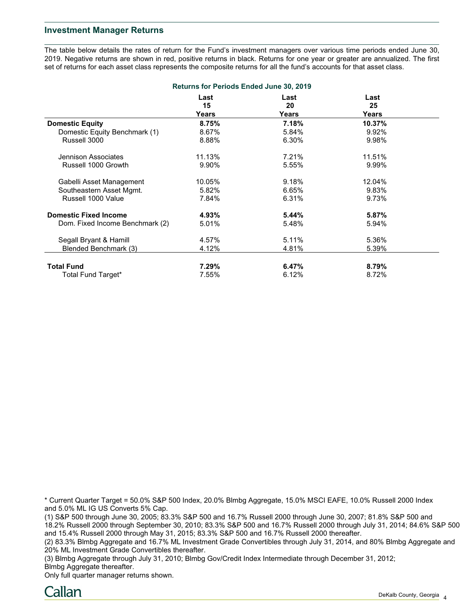## **Investment Manager Returns**

The table below details the rates of return for the Fund's investment managers over various time periods ended June 30, 2019. Negative returns are shown in red, positive returns in black. Returns for one year or greater are annualized. The first set of returns for each asset class represents the composite returns for all the fund's accounts for that asset class.

| <b>Returns for Periods Ended June 30, 2019</b> |            |            |            |  |  |  |
|------------------------------------------------|------------|------------|------------|--|--|--|
|                                                | Last<br>15 | Last<br>20 | Last<br>25 |  |  |  |
|                                                | Years      | Years      | Years      |  |  |  |
| <b>Domestic Equity</b>                         | 8.75%      | 7.18%      | 10.37%     |  |  |  |
| Domestic Equity Benchmark (1)                  | 8.67%      | 5.84%      | 9.92%      |  |  |  |
| Russell 3000                                   | 8.88%      | 6.30%      | 9.98%      |  |  |  |
| Jennison Associates                            | 11.13%     | 7.21%      | 11.51%     |  |  |  |
| Russell 1000 Growth                            | 9.90%      | 5.55%      | 9.99%      |  |  |  |
| Gabelli Asset Management                       | 10.05%     | 9.18%      | 12.04%     |  |  |  |
| Southeastern Asset Mgmt.                       | 5.82%      | 6.65%      | 9.83%      |  |  |  |
| Russell 1000 Value                             | 7.84%      | 6.31%      | 9.73%      |  |  |  |
| <b>Domestic Fixed Income</b>                   | 4.93%      | 5.44%      | 5.87%      |  |  |  |
| Dom. Fixed Income Benchmark (2)                | 5.01%      | 5.48%      | 5.94%      |  |  |  |
| Segall Bryant & Hamill                         | 4.57%      | 5.11%      | 5.36%      |  |  |  |
| Blended Benchmark (3)                          | 4.12%      | 4.81%      | 5.39%      |  |  |  |
| <b>Total Fund</b>                              | $7.29\%$   | 6.47%      | 8.79%      |  |  |  |
| Total Fund Target*                             | 7.55%      | 6.12%      | 8.72%      |  |  |  |

\* Current Quarter Target = 50.0% S&P 500 Index, 20.0% Blmbg Aggregate, 15.0% MSCI EAFE, 10.0% Russell 2000 Index and 5.0% ML IG US Converts 5% Cap.

(1) S&P 500 through June 30, 2005; 83.3% S&P 500 and 16.7% Russell 2000 through June 30, 2007; 81.8% S&P 500 and 18.2% Russell 2000 through September 30, 2010; 83.3% S&P 500 and 16.7% Russell 2000 through July 31, 2014; 84.6% S&P 500 and 15.4% Russell 2000 through May 31, 2015; 83.3% S&P 500 and 16.7% Russell 2000 thereafter.

(2) 83.3% Blmbg Aggregate and 16.7% ML Investment Grade Convertibles through July 31, 2014, and 80% Blmbg Aggregate and 20% ML Investment Grade Convertibles thereafter.

(3) Blmbg Aggregate through July 31, 2010; Blmbg Gov/Credit Index Intermediate through December 31, 2012; Blmbg Aggregate thereafter.

Only full quarter manager returns shown.